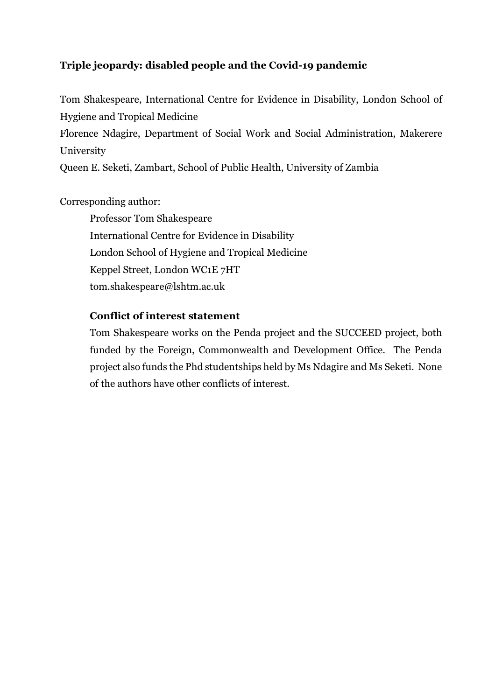# **Triple jeopardy: disabled people and the Covid-19 pandemic**

Tom Shakespeare, International Centre for Evidence in Disability, London School of Hygiene and Tropical Medicine

Florence Ndagire, Department of Social Work and Social Administration, Makerere University

Queen E. Seketi, Zambart, School of Public Health, University of Zambia

# Corresponding author:

Professor Tom Shakespeare International Centre for Evidence in Disability London School of Hygiene and Tropical Medicine Keppel Street, London WC1E 7HT tom.shakespeare@lshtm.ac.uk

## **Conflict of interest statement**

Tom Shakespeare works on the Penda project and the SUCCEED project, both funded by the Foreign, Commonwealth and Development Office. The Penda project also funds the Phd studentships held by Ms Ndagire and Ms Seketi. None of the authors have other conflicts of interest.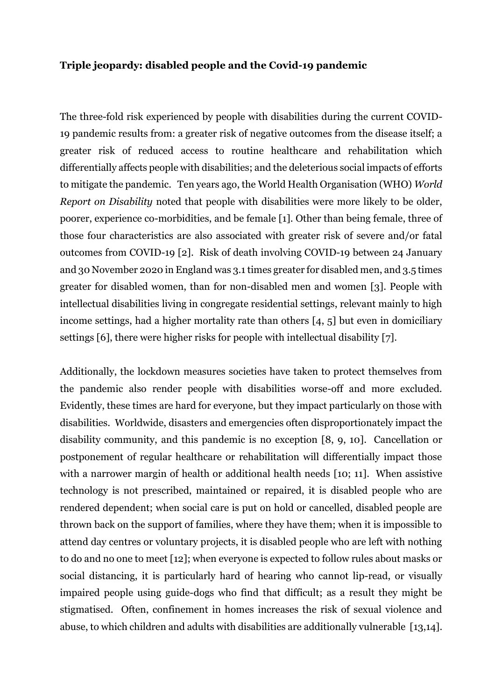#### **Triple jeopardy: disabled people and the Covid-19 pandemic**

The three-fold risk experienced by people with disabilities during the current COVID-19 pandemic results from: a greater risk of negative outcomes from the disease itself; a greater risk of reduced access to routine healthcare and rehabilitation which differentially affects people with disabilities; and the deleterious social impacts of efforts to mitigate the pandemic. Ten years ago, the World Health Organisation (WHO) *World Report on Disability* noted that people with disabilities were more likely to be older, poorer, experience co-morbidities, and be female [1]. Other than being female, three of those four characteristics are also associated with greater risk of severe and/or fatal outcomes from COVID-19 [2]. Risk of death involving COVID-19 between 24 January and 30 November 2020 in England was 3.1 times greater for disabled men, and 3.5 times greater for disabled women, than for non-disabled men and women [3]. People with intellectual disabilities living in congregate residential settings, relevant mainly to high income settings, had a higher mortality rate than others [4, 5] but even in domiciliary settings [6], there were higher risks for people with intellectual disability [7].

Additionally, the lockdown measures societies have taken to protect themselves from the pandemic also render people with disabilities worse-off and more excluded. Evidently, these times are hard for everyone, but they impact particularly on those with disabilities. Worldwide, disasters and emergencies often disproportionately impact the disability community, and this pandemic is no exception [8, 9, 10]. Cancellation or postponement of regular healthcare or rehabilitation will differentially impact those with a narrower margin of health or additional health needs [10; 11]. When assistive technology is not prescribed, maintained or repaired, it is disabled people who are rendered dependent; when social care is put on hold or cancelled, disabled people are thrown back on the support of families, where they have them; when it is impossible to attend day centres or voluntary projects, it is disabled people who are left with nothing to do and no one to meet [12]; when everyone is expected to follow rules about masks or social distancing, it is particularly hard of hearing who cannot lip-read, or visually impaired people using guide-dogs who find that difficult; as a result they might be stigmatised. Often, confinement in homes increases the risk of sexual violence and abuse, to which children and adults with disabilities are additionally vulnerable [13,14].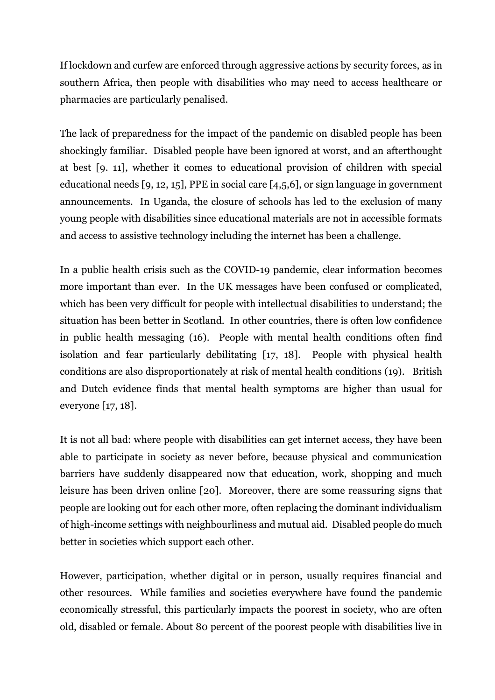If lockdown and curfew are enforced through aggressive actions by security forces, as in southern Africa, then people with disabilities who may need to access healthcare or pharmacies are particularly penalised.

The lack of preparedness for the impact of the pandemic on disabled people has been shockingly familiar. Disabled people have been ignored at worst, and an afterthought at best [9. 11], whether it comes to educational provision of children with special educational needs [9, 12, 15], PPE in social care [4,5,6], or sign language in government announcements. In Uganda, the closure of schools has led to the exclusion of many young people with disabilities since educational materials are not in accessible formats and access to assistive technology including the internet has been a challenge.

In a public health crisis such as the COVID-19 pandemic, clear information becomes more important than ever. In the UK messages have been confused or complicated, which has been very difficult for people with intellectual disabilities to understand; the situation has been better in Scotland. In other countries, there is often low confidence in public health messaging (16). People with mental health conditions often find isolation and fear particularly debilitating [17, 18]. People with physical health conditions are also disproportionately at risk of mental health conditions (19). British and Dutch evidence finds that mental health symptoms are higher than usual for everyone [17, 18].

It is not all bad: where people with disabilities can get internet access, they have been able to participate in society as never before, because physical and communication barriers have suddenly disappeared now that education, work, shopping and much leisure has been driven online [20]. Moreover, there are some reassuring signs that people are looking out for each other more, often replacing the dominant individualism of high-income settings with neighbourliness and mutual aid. Disabled people do much better in societies which support each other.

However, participation, whether digital or in person, usually requires financial and other resources. While families and societies everywhere have found the pandemic economically stressful, this particularly impacts the poorest in society, who are often old, disabled or female. About 80 percent of the poorest people with disabilities live in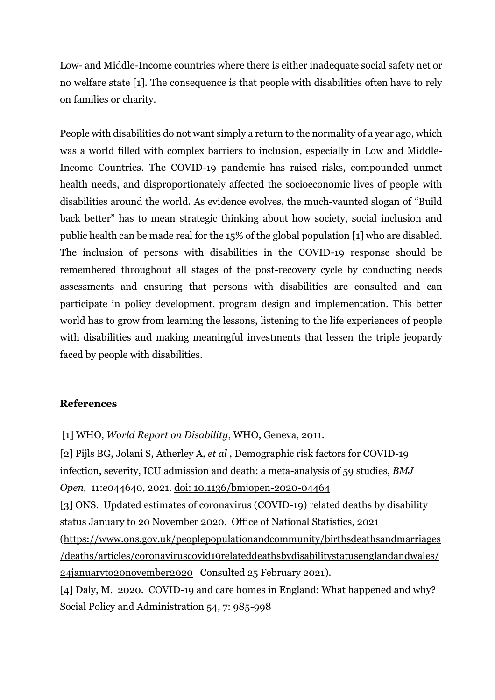Low- and Middle-Income countries where there is either inadequate social safety net or no welfare state [1]. The consequence is that people with disabilities often have to rely on families or charity.

People with disabilities do not want simply a return to the normality of a year ago, which was a world filled with complex barriers to inclusion, especially in Low and Middle-Income Countries. The COVID-19 pandemic has raised risks, compounded unmet health needs, and disproportionately affected the socioeconomic lives of people with disabilities around the world. As evidence evolves, the much-vaunted slogan of "Build back better" has to mean strategic thinking about how society, social inclusion and public health can be made real for the 15% of the global population [1] who are disabled. The inclusion of persons with disabilities in the COVID-19 response should be remembered throughout all stages of the post-recovery cycle by conducting needs assessments and ensuring that persons with disabilities are consulted and can participate in policy development, program design and implementation. This better world has to grow from learning the lessons, listening to the life experiences of people with disabilities and making meaningful investments that lessen the triple jeopardy faced by people with disabilities.

#### **References**

[2] Pijls BG, Jolani S, Atherley A*, et al* , Demographic risk factors for COVID-19 infection, severity, ICU admission and death: a meta-analysis of 59 studies, *BMJ Open,* 11:e044640, 2021. doi: 10.1136/bmjopen-2020-04464 [3] ONS. Updated estimates of coronavirus (COVID-19) related deaths by disability status January to 20 November 2020. Office of National Statistics, 2021 [\(https://www.ons.gov.uk/peoplepopulationandcommunity/birthsdeathsandmarriages](https://www.ons.gov.uk/peoplepopulationandcommunity/birthsdeathsandmarriages/deaths/articles/coronaviruscovid19relateddeathsbydisabilitystatusenglandandwales/24januaryto20november2020) [/deaths/articles/coronaviruscovid19relateddeathsbydisabilitystatusenglandandwales/](https://www.ons.gov.uk/peoplepopulationandcommunity/birthsdeathsandmarriages/deaths/articles/coronaviruscovid19relateddeathsbydisabilitystatusenglandandwales/24januaryto20november2020) [24januaryto20november2020](https://www.ons.gov.uk/peoplepopulationandcommunity/birthsdeathsandmarriages/deaths/articles/coronaviruscovid19relateddeathsbydisabilitystatusenglandandwales/24januaryto20november2020) Consulted 25 February 2021). [4] Daly, M. 2020. COVID-19 and care homes in England: What happened and why? Social Policy and Administration 54, 7: 985-998

<sup>[1]</sup> WHO, *World Report on Disability*, WHO, Geneva, 2011.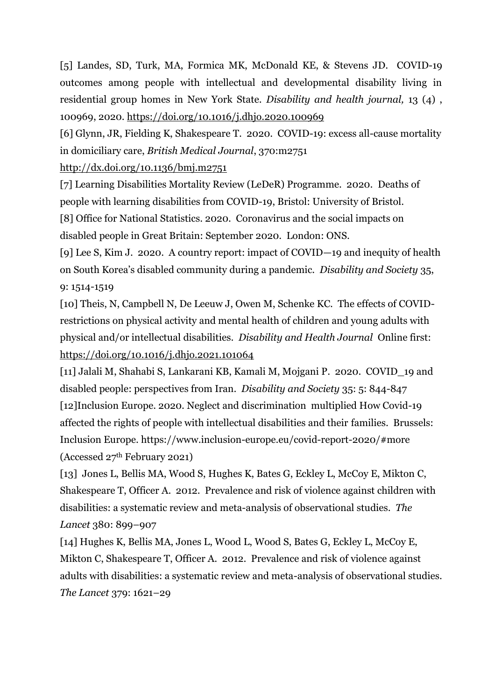[5] Landes, SD, Turk, MA, Formica MK, McDonald KE, & Stevens JD. COVID-19 outcomes among people with intellectual and developmental disability living in residential group homes in New York State. *Disability and health journal,* 13 (4) , 100969, 2020.<https://doi.org/10.1016/j.dhjo.2020.100969>

[6] Glynn, JR, Fielding K, Shakespeare T. 2020. COVID-19: excess all-cause mortality in domiciliary care, *British Medical Journal*, 370:m2751

<http://dx.doi.org/10.1136/bmj.m2751>

[7] Learning Disabilities Mortality Review (LeDeR) Programme. 2020. Deaths of people with learning disabilities from COVID-19, Bristol: University of Bristol. [8] Office for National Statistics. 2020. Coronavirus and the social impacts on disabled people in Great Britain: September 2020. London: ONS.

[9] Lee S, Kim J. 2020. A country report: impact of COVID—19 and inequity of health on South Korea's disabled community during a pandemic. *Disability and Society* 35, 9: 1514-1519

[10] Theis, N, Campbell N, De Leeuw J, Owen M, Schenke KC. The effects of COVIDrestrictions on physical activity and mental health of children and young adults with physical and/or intellectual disabilities. *Disability and Health Journal* Online first: <https://doi.org/10.1016/j.dhjo.2021.101064>

[11] Jalali M, Shahabi S, Lankarani KB, Kamali M, Mojgani P. 2020. COVID\_19 and disabled people: perspectives from Iran. *Disability and Society* 35: 5: 844-847 [12]Inclusion Europe. 2020. Neglect and discrimination multiplied How Covid-19 affected the rights of people with intellectual disabilities and their families. Brussels: Inclusion Europe. https://www.inclusion-europe.eu/covid-report-2020/#more (Accessed 27th February 2021)

[13] Jones L, Bellis MA, Wood S, Hughes K, Bates G, Eckley L, McCoy E, Mikton C, Shakespeare T, Officer A. 2012. Prevalence and risk of violence against children with disabilities: a systematic review and meta-analysis of observational studies. *The Lancet* 380: 899–907

[14] Hughes K, Bellis MA, Jones L, Wood L, Wood S, Bates G, Eckley L, McCoy E, Mikton C, Shakespeare T, Officer A. 2012. Prevalence and risk of violence against adults with disabilities: a systematic review and meta-analysis of observational studies. *The Lancet* 379: 1621–29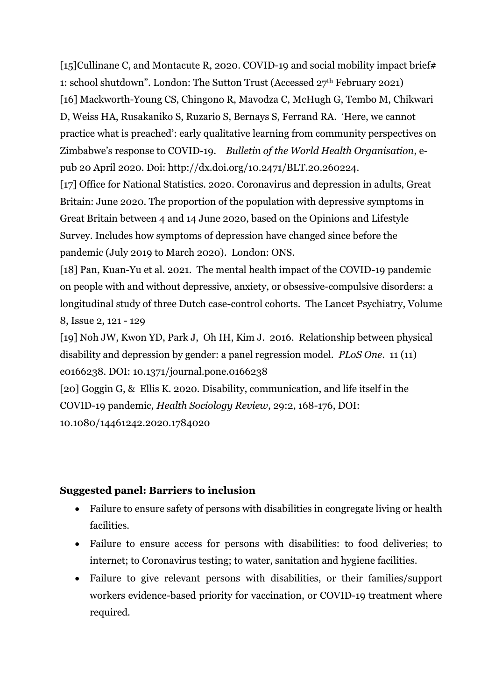[15]Cullinane C, and Montacute R, 2020. COVID-19 and social mobility impact brief# 1: school shutdown". London: The Sutton Trust (Accessed 27th February 2021) [16] Mackworth-Young CS, Chingono R, Mavodza C, McHugh G, Tembo M, Chikwari D, Weiss HA, Rusakaniko S, Ruzario S, Bernays S, Ferrand RA. 'Here, we cannot practice what is preached': early qualitative learning from community perspectives on Zimbabwe's response to COVID-19. *Bulletin of the World Health Organisation*, epub 20 April 2020. Doi: http://dx.doi.org/10.2471/BLT.20.260224.

[17] Office for National Statistics. 2020. Coronavirus and depression in adults, Great Britain: June 2020. The proportion of the population with depressive symptoms in Great Britain between 4 and 14 June 2020, based on the Opinions and Lifestyle Survey. Includes how symptoms of depression have changed since before the pandemic (July 2019 to March 2020). London: ONS.

[18] Pan, Kuan-Yu et al. 2021. The mental health impact of the COVID-19 pandemic on people with and without depressive, anxiety, or obsessive-compulsive disorders: a longitudinal study of three Dutch case-control cohorts. The Lancet Psychiatry, Volume 8, Issue 2, 121 - 129

[19] Noh JW, Kwon YD, Park J, Oh IH, Kim J. 2016. Relationship between physical disability and depression by gender: a panel regression model. *PLoS One*. 11 (11) e0166238. DOI: 10.1371/journal.pone.0166238

[20] Goggin G, & Ellis K. 2020. Disability, communication, and life itself in the COVID-19 pandemic, *Health Sociology Review*, 29:2, 168-176, DOI: 10.1080/14461242.2020.1784020

## **Suggested panel: Barriers to inclusion**

- Failure to ensure safety of persons with disabilities in congregate living or health facilities.
- Failure to ensure access for persons with disabilities: to food deliveries; to internet; to Coronavirus testing; to water, sanitation and hygiene facilities.
- Failure to give relevant persons with disabilities, or their families/support workers evidence-based priority for vaccination, or COVID-19 treatment where required.